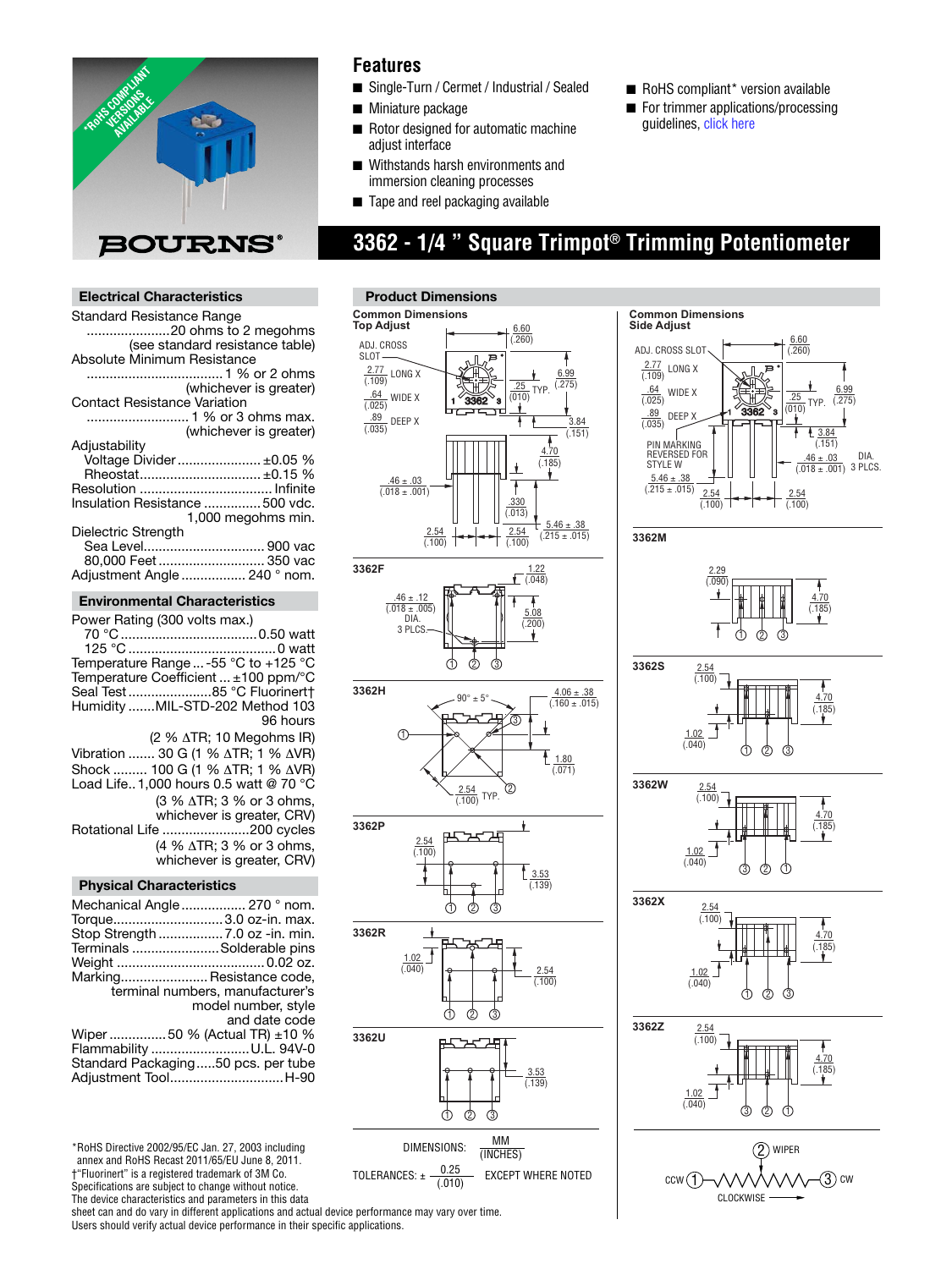

## **Features**

- Single-Turn / Cermet / Industrial / Sealed
- Miniature package
- Rotor designed for automatic machine adjust interface
- Withstands harsh environments and immersion cleaning processes
- Tape and reel packaging available

**Product Dimensions**

# **3362 - 1/4 " Square Trimpot® Trimming Potentiometer**

## **Electrical Characteristics**

| Standard Resistance Range           |                                 |
|-------------------------------------|---------------------------------|
|                                     | 20 ohms to 2 megohms            |
|                                     | (see standard resistance table) |
| Absolute Minimum Resistance         |                                 |
|                                     |                                 |
|                                     | (whichever is greater)          |
| <b>Contact Resistance Variation</b> |                                 |
|                                     | 1 % or 3 ohms max.              |
|                                     | (whichever is greater)          |
| Adjustability                       |                                 |
|                                     | Voltage Divider  ±0.05 %        |
|                                     | Rheostat ±0.15 %                |
|                                     |                                 |
| Insulation Resistance  500 vdc.     |                                 |
|                                     | 1,000 megohms min.              |
| Dielectric Strength                 |                                 |
|                                     | Sea Level 900 vac               |
|                                     | 80,000 Feet  350 vac            |
| Adjustment Angle  240 ° nom.        |                                 |
|                                     |                                 |

#### **Environmental Characteristics**

| Power Rating (300 volts max.)                     |
|---------------------------------------------------|
|                                                   |
| Temperature Range  -55 °C to +125 °C              |
| Temperature Coefficient  ±100 ppm/°C              |
| Seal Test85 °C Fluorinert†                        |
| Humidity MIL-STD-202 Method 103                   |
| 96 hours                                          |
| $(2 % \triangle TR; 10 Megohn S IR)$              |
| Vibration  30 G (1 % ∆TR; 1 % ∆VR)                |
| Shock  100 G (1 % ∆TR; 1 % ∆VR)                   |
| Load Life. 1.000 hours 0.5 watt @ 70 $^{\circ}$ C |
| (3 % ∆TR; 3 % or 3 ohms,                          |
| whichever is greater, CRV)                        |
| Rotational Life 200 cycles                        |
| (4 % $\triangle$ TR; 3 % or 3 ohms,               |
| whichever is greater, CRV)                        |
|                                                   |

## **Physical Characteristics**

| Mechanical Angle  270 ° nom.       |                                  |
|------------------------------------|----------------------------------|
| Torque3.0 oz-in. max.              |                                  |
| Stop Strength  7.0 oz -in. min.    |                                  |
| Terminals Solderable pins          |                                  |
|                                    |                                  |
| Marking Resistance code,           |                                  |
|                                    | terminal numbers, manufacturer's |
|                                    | model number, style              |
|                                    | and date code                    |
| Wiper  50 % (Actual TR) ±10 %      |                                  |
| Flammability U.L. 94V-0            |                                  |
| Standard Packaging50 pcs. per tube |                                  |
| Adjustment ToolH-90                |                                  |
|                                    |                                  |

\*RoHS Directive 2002/95/EC Jan. 27, 2003 including annex and RoHS Recast 2011/65/EU June 8, 2011. †"Fluorinert" is a registered trademark of 3M Co.

Specifications are subject to change without notice.

The device characteristics and parameters in this data

sheet can and do vary in different applications and actual device performance may vary over time. Users should verify actual device performance in their specific applications.











**Common Dimensions Side Adjust** 6.60 ADJ. CROSS SLOT  $(260)$ 2.77 LONG X  $(709)$  $(275)$   $64$  WIDEX  $32\pm 2$ .64 TYP.  $\frac{1}{1}$   $\frac{64}{(025)}$  WIDE X  $\frac{1}{25}$ WIDE X  $\sqrt{0.025}$  $(275)$  $\frac{1}{(010)}$  TYP. .89  $1\degree 3362\degree$ 3 DEEP X  $\frac{100}{(.035)}$ 3.84 (.151) PIN MARKING REVERSED FOR  $\frac{.46 \pm .03}{(.018 \pm .001)}$  3 PLCS. STYLE W  $\underline{5.46} \pm$  $(.215 \pm .015)$  $2.54$ 2.54  $(100)$ (.100) **3362M**  $\frac{2.29}{(.090)}$ ÷ 4.70 (.185) 1) (2) (3 **3362S**  $\frac{2.54}{(.100)}$ 4.70 (.185) 1.02  $(0.040)$ റി മ ദി **3362W**  $\frac{2.54}{(.100)}$  $\frac{4.70}{(.185)}$ 1.02  $(0.040)$ ා ව ර **3362X**  $\frac{2.54}{(.100)}$ 4.70 (.185)  $\frac{1.02}{(.040)}$  $\overline{G}$ **3362Z**  $\frac{2.54}{(.100)}$ 4.70  $(185)$  $\frac{1.02}{0.040}$ 3ා (2) (1)

■ RoHS compliant\* version available ■ For trim[mer applications](http://www.bourns.com/data/global/pdfs/ap_proc.pdf)/processing

guidelines, click here